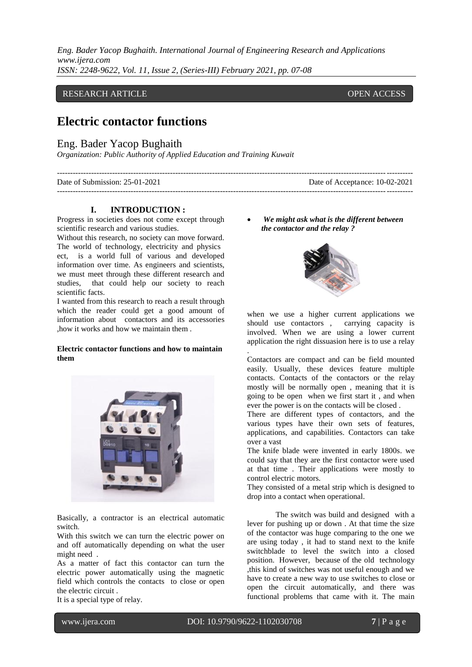*Eng. Bader Yacop Bughaith. International Journal of Engineering Research and Applications www.ijera.com ISSN: 2248-9622, Vol. 11, Issue 2, (Series-III) February 2021, pp. 07-08*

## RESEARCH ARTICLE **CONSERVERS** OPEN ACCESS

# **Electric contactor functions**

## Eng. Bader Yacop Bughaith

*Organization: Public Authority of Applied Education and Training Kuwait*

| Date of Submission: 25-01-2021 | Date of Acceptance: 10-02-2021 |
|--------------------------------|--------------------------------|
|                                |                                |

#### **I. INTRODUCTION :**

Progress in societies does not come except through scientific research and various studies.

Without this research, no society can move forward. The world of technology, electricity and physics ect, is a world full of various and developed information over time. As engineers and scientists, we must meet through these different research and studies, that could help our society to reach scientific facts.

I wanted from this research to reach a result through which the reader could get a good amount of information about contactors and its accessories ,how it works and how we maintain them .

#### **Electric contactor functions and how to maintain them**



Basically, a contractor is an electrical automatic switch.

With this switch we can turn the electric power on and off automatically depending on what the user might need .

As a matter of fact this contactor can turn the electric power automatically using the magnetic field which controls the contacts to close or open the electric circuit .

 *We might ask what is the different between the contactor and the relay ?*



when we use a higher current applications we should use contactors , carrying capacity is involved. When we are using a lower current application the right dissuasion here is to use a relay .

Contactors are compact and can be field mounted easily. Usually, these devices feature multiple contacts. Contacts of the contactors or the relay mostly will be normally open , meaning that it is going to be open when we first start it , and when ever the power is on the contacts will be closed .

There are different types of contactors, and the various types have their own sets of features, applications, and capabilities. Contactors can take over a vast

The knife blade were invented in early 1800s. we could say that they are the first contactor were used at that time . Their applications were mostly to control electric motors.

They consisted of a metal strip which is designed to drop into a contact when operational.

The switch was build and designed with a lever for pushing up or down . At that time the size of the contactor was huge comparing to the one we are using today , it had to stand next to the knife switchblade to level the switch into a closed position. However, because of the old technology ,this kind of switches was not useful enough and we have to create a new way to use switches to close or open the circuit automatically, and there was functional problems that came with it. The main

l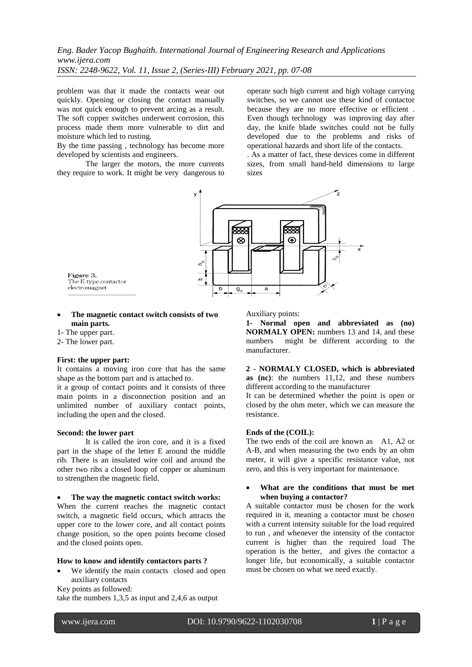*Eng. Bader Yacop Bughaith. International Journal of Engineering Research and Applications www.ijera.com ISSN: 2248-9622, Vol. 11, Issue 2, (Series-III) February 2021, pp. 07-08*

problem was that it made the contacts wear out quickly. Opening or closing the contact manually was not quick enough to prevent arcing as a result. The soft copper switches underwent corrosion, this process made them more vulnerable to dirt and moisture which led to rusting.

By the time passing , technology has become more developed by scientists and engineers.

The larger the motors, the more currents they require to work. It might be very dangerous to operate such high current and high voltage carrying switches, so we cannot use these kind of contactor because they are no more effective or efficient . Even though technology was improving day after day, the knife blade switches could not be fully developed due to the problems and risks of operational hazards and short life of the contacts.

. As a matter of fact, these devices come in different sizes, from small hand-held dimensions to large sizes



#### **The magnetic contact switch consists of two main parts.**

- 1- The upper part.
- 2- The lower part.

## **First: the upper part:**

It contains a moving iron core that has the same shape as the bottom part and is attached to.

it a group of contact points and it consists of three main points in a disconnection position and an unlimited number of auxiliary contact points, including the open and the closed.

#### **Second: the lower part**

It is called the iron core, and it is a fixed part in the shape of the letter E around the middle rib. There is an insulated wire coil and around the other two ribs a closed loop of copper or aluminum to strengthen the magnetic field.

#### **The way the magnetic contact switch works:**

When the current reaches the magnetic contact switch, a magnetic field occurs, which attracts the upper core to the lower core, and all contact points change position, so the open points become closed and the closed points open.

### **How to know and identify contactors parts ?**

 We identify the main contacts closed and open auxiliary contacts

Key points as followed:

take the numbers 1,3,5 as input and 2,4,6 as output

Auxiliary points:

**1- Normal open and abbreviated as (no) NORMALY OPEN:** numbers 13 and 14, and these numbers might be different according to the manufacturer.

**2 - NORMALY CLOSED, which is abbreviated as (nc)**: the numbers 11,12, and these numbers different according to the manufacturer

It can be determined whether the point is open or closed by the ohm meter, which we can measure the resistance.

#### **Ends of the (COIL):**

The two ends of the coil are known as A1, A2 or A-B, and when measuring the two ends by an ohm meter, it will give a specific resistance value, not zero, and this is very important for maintenance.

#### **What are the conditions that must be met when buying a contactor?**

A suitable contactor must be chosen for the work required in it, meaning a contactor must be chosen with a current intensity suitable for the load required to run , and whenever the intensity of the contactor current is higher than the required load The operation is the better, and gives the contactor a longer life, but economically, a suitable contactor must be chosen on what we need exactly.

l